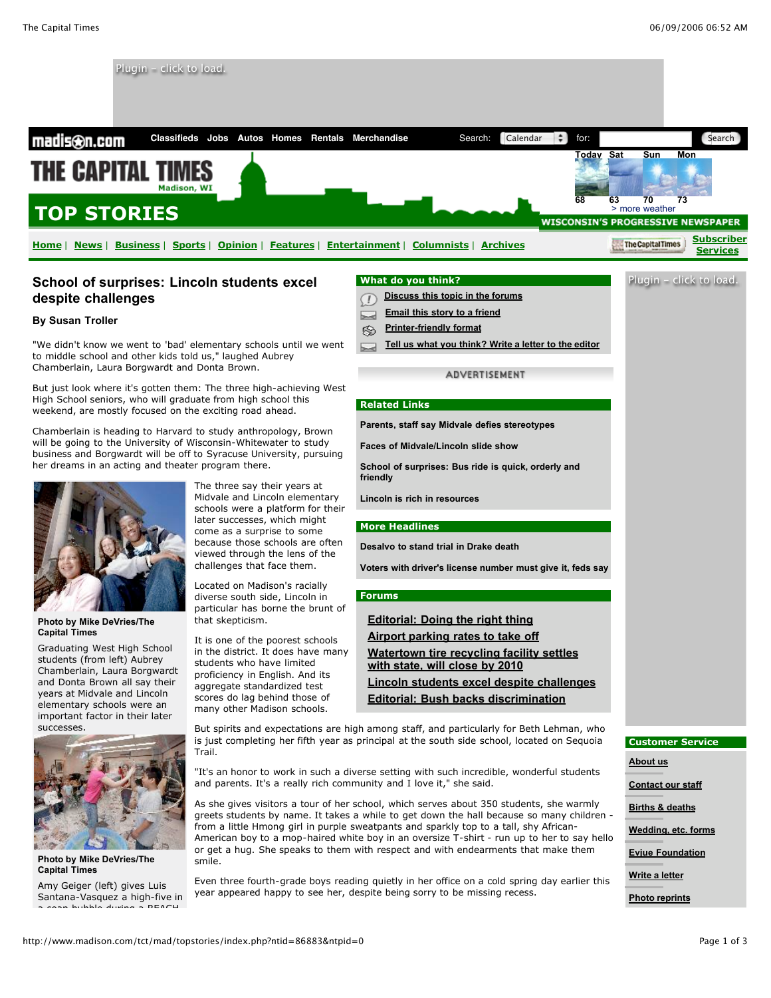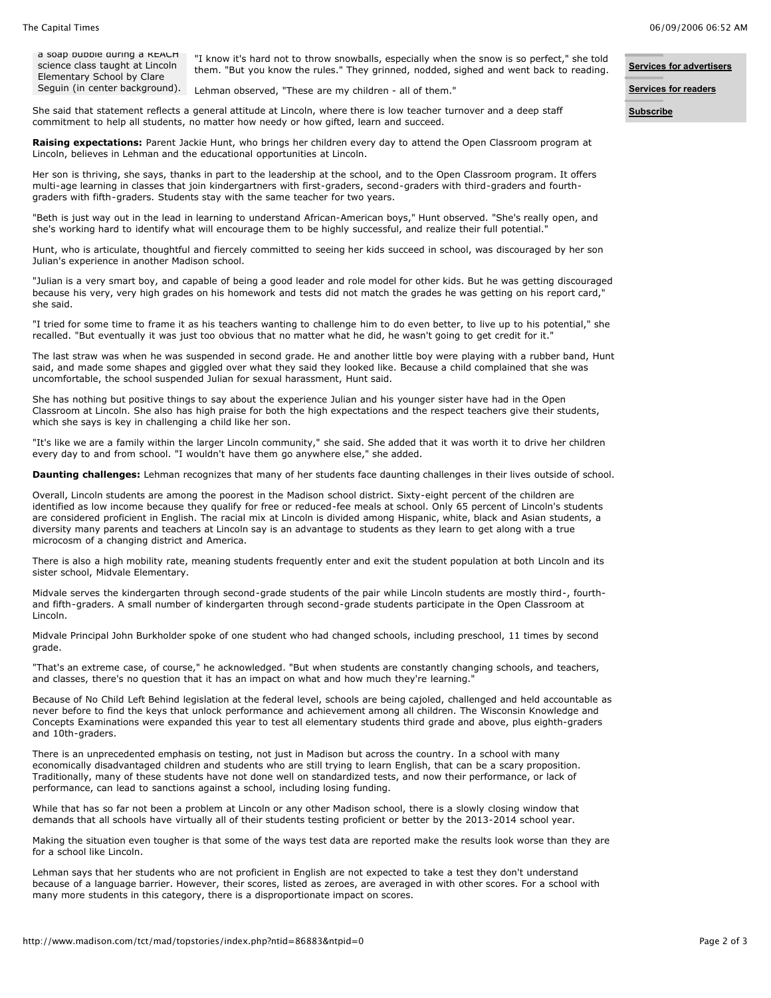## **Services for advertisers**

## **Services for readers**

**Subscribe**

a soap bubble during a REACH science class taught at Lincoln Elementary School by Clare Seguin (in center background).

"I know it's hard not to throw snowballs, especially when the snow is so perfect," she told them. "But you know the rules." They grinned, nodded, sighed and went back to reading.

Lehman observed, "These are my children - all of them."

She said that statement reflects a general attitude at Lincoln, where there is low teacher turnover and a deep staff commitment to help all students, no matter how needy or how gifted, learn and succeed.

**Raising expectations:** Parent Jackie Hunt, who brings her children every day to attend the Open Classroom program at Lincoln, believes in Lehman and the educational opportunities at Lincoln.

Her son is thriving, she says, thanks in part to the leadership at the school, and to the Open Classroom program. It offers multi-age learning in classes that join kindergartners with first-graders, second-graders with third-graders and fourthgraders with fifth-graders. Students stay with the same teacher for two years.

"Beth is just way out in the lead in learning to understand African-American boys," Hunt observed. "She's really open, and she's working hard to identify what will encourage them to be highly successful, and realize their full potential."

Hunt, who is articulate, thoughtful and fiercely committed to seeing her kids succeed in school, was discouraged by her son Julian's experience in another Madison school.

"Julian is a very smart boy, and capable of being a good leader and role model for other kids. But he was getting discouraged because his very, very high grades on his homework and tests did not match the grades he was getting on his report card," she said.

"I tried for some time to frame it as his teachers wanting to challenge him to do even better, to live up to his potential," she recalled. "But eventually it was just too obvious that no matter what he did, he wasn't going to get credit for it."

The last straw was when he was suspended in second grade. He and another little boy were playing with a rubber band, Hunt said, and made some shapes and giggled over what they said they looked like. Because a child complained that she was uncomfortable, the school suspended Julian for sexual harassment, Hunt said.

She has nothing but positive things to say about the experience Julian and his younger sister have had in the Open Classroom at Lincoln. She also has high praise for both the high expectations and the respect teachers give their students, which she says is key in challenging a child like her son.

"It's like we are a family within the larger Lincoln community," she said. She added that it was worth it to drive her children every day to and from school. "I wouldn't have them go anywhere else," she added.

**Daunting challenges:** Lehman recognizes that many of her students face daunting challenges in their lives outside of school.

Overall, Lincoln students are among the poorest in the Madison school district. Sixty-eight percent of the children are identified as low income because they qualify for free or reduced-fee meals at school. Only 65 percent of Lincoln's students are considered proficient in English. The racial mix at Lincoln is divided among Hispanic, white, black and Asian students, a diversity many parents and teachers at Lincoln say is an advantage to students as they learn to get along with a true microcosm of a changing district and America.

There is also a high mobility rate, meaning students frequently enter and exit the student population at both Lincoln and its sister school, Midvale Elementary.

Midvale serves the kindergarten through second-grade students of the pair while Lincoln students are mostly third-, fourthand fifth-graders. A small number of kindergarten through second-grade students participate in the Open Classroom at Lincoln.

Midvale Principal John Burkholder spoke of one student who had changed schools, including preschool, 11 times by second grade.

"That's an extreme case, of course," he acknowledged. "But when students are constantly changing schools, and teachers, and classes, there's no question that it has an impact on what and how much they're learning."

Because of No Child Left Behind legislation at the federal level, schools are being cajoled, challenged and held accountable as never before to find the keys that unlock performance and achievement among all children. The Wisconsin Knowledge and Concepts Examinations were expanded this year to test all elementary students third grade and above, plus eighth-graders and 10th-graders.

There is an unprecedented emphasis on testing, not just in Madison but across the country. In a school with many economically disadvantaged children and students who are still trying to learn English, that can be a scary proposition. Traditionally, many of these students have not done well on standardized tests, and now their performance, or lack of performance, can lead to sanctions against a school, including losing funding.

While that has so far not been a problem at Lincoln or any other Madison school, there is a slowly closing window that demands that all schools have virtually all of their students testing proficient or better by the 2013-2014 school year.

Making the situation even tougher is that some of the ways test data are reported make the results look worse than they are for a school like Lincoln.

Lehman says that her students who are not proficient in English are not expected to take a test they don't understand because of a language barrier. However, their scores, listed as zeroes, are averaged in with other scores. For a school with many more students in this category, there is a disproportionate impact on scores.